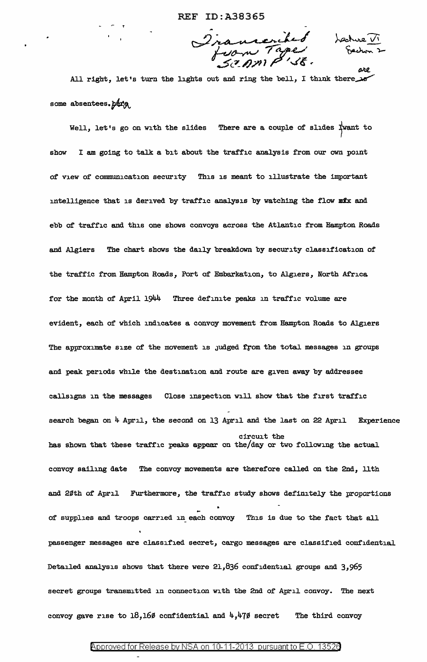Iransenibed<br>Juan Tage

ore

All right, let's turn the lights out and ring the bell, I think there some absentees.  $ptr_{\theta}$ 

Well, let's go on with the slides There are a couple of slides Twant to show I am going to talk a bit about the traffic analysis from our own point of view of communication security This is meant to illustrate the important intelligence that is derived by traffic analysis by watching the flow mix and ebb of traffic and this one shows convoys across the Atlantic from Hampton Roads and Algiers The chart shows the daily breakdown by security classification of the traffic from Hampton Roads, Port of Embarkation, to Algiers, North Africa for the month of April 1944 Three definite peaks in traffic volume are evident, each of which indicates a convoy movement from Hampton Roads to Algiers The approximate size of the movement is judged from the total messages in groups and peak periods while the destination and route are given away by addressee callsigns in the messages Close inspection will show that the first traffic search began on  $4$  April, the second on 13 April and the last on 22 April Experience circuit the has shown that these traffic peaks appear on the/day or two following the actual convoy sailing date The convoy movements are therefore called on the 2nd, llth and 20th of April Furthermore, the traffic study shows definitely the proportions of supplies and troops carried in each convoy This is due to the fact that all passenger messages are classified secret, cargo messages are classified confidential Detailed analysis shows that there were 21,836 confidential groups and 3,965 secret groups transmitted in connection with the 2nd of April convoy. The next convoy gave rise to 18,16 $\emptyset$  confidential and  $4,47\emptyset$  secret The third convoy

# Approved for Release by NSA on 10-11-2013 pursuant to E.O. 13526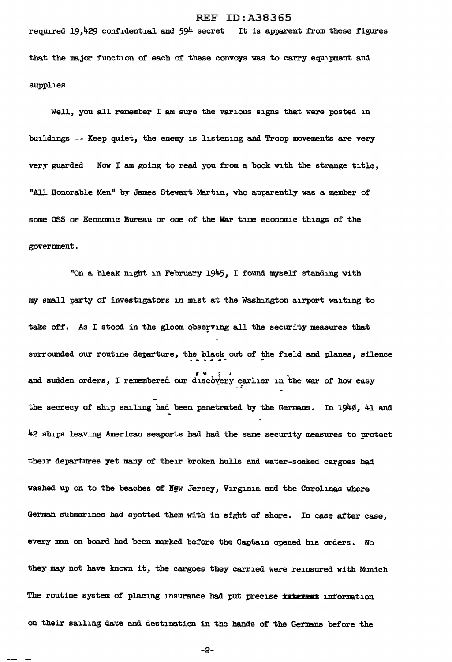required 19,429 confidential and 594 secret It is apparent from these figures that the major function of each of these convoys was to carry equipment and supplies

Well, you all remember I am sure the various signs that were posted in buildings -- Keep quiet, the enemy is listening and Troop movements are very very guarded Now I am going to read you from a book with the strange title, "All Honorable Men" by James Stewart Martin, who apparently was a member of some OSS or Economic Bureau or one of the War time economic things of the government.

"On a bleak night in February 1945, I found myself standing with my small party of investigators in mist at the Washington airport waiting to take off. As I stood in the gloom observing all the security measures that surrounded our routine departure, the black out of the field and planes, silence and sudden orders, I remembered our discovery earlier in the war of how easy the secrecy of ship sailing had been penetrated by the Germans. In 1940, 41 and 42 ships leaving American seaports had had the same security measures to protect their departures yet many of their broken hulls and water-soaked cargoes had washed up on to the beaches of New Jersey, Virginia and the Carolinas where German submarines had spotted them with in sight of shore. In case after case, every man on board had been marked before the Captain opened his orders. No they may not have known it, the cargoes they carried were reinsured with Munich The routine system of placing insurance had put precise interest information on their sailing date and destination in the hands of the Germans before the

-2-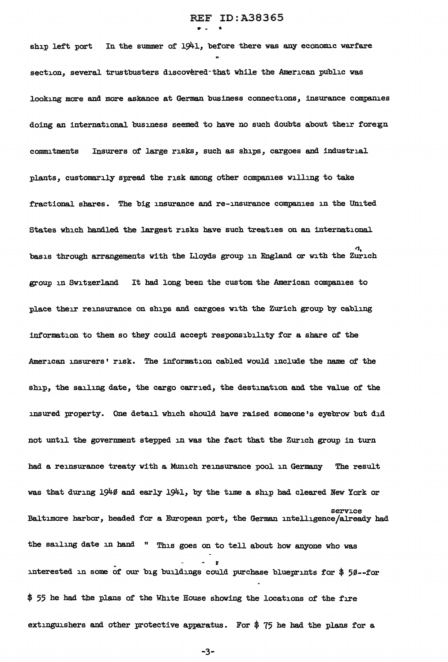ship left port In the summer of 1941, before there was any economic warfare section, several trustbusters discovered-that while the American public was looking more and more askance at German business connections, insurance companies doing an international business seemed to have no such doubts about their foregn commitments Insurers of large risks, such as ships, cargoes and industrial plants, customarily spread the risk among other companies willing to take fractional shares. The big insurance and re-insurance companies in the United States which handled the largest risks have such treaties on an international  $\overline{a}$ basis through arrangements with the Lloyds group in England or with the Zurich group in Switzerland It had long been the custom the American companies to place their reinsurance on ships and cargoes with the Zurich group by cabling information to them so they could accept responsibility for a share of the American insurers' risk. The information cabled would include the name of the ship, the sailing date, the cargo carried, the destination and the value of the insured property. One detail which should have raised someone's eyebrow but did not until the government stepped in was the fact that the Zurich group in turn had a reinsurance treaty with a Munich reinsurance pool in Germany The result was that during 1940 and early 1941, by the time a ship had cleared New York or service Baltimore harbor, headed for a European port, the German intelligence/already had the sailing date in band " This goes on to tell about how anyone who was interested in some of our big buildings could purchase blueprints for  $$50--for$ \$ 55 he had the plans of' the White House showing the locations of the fire extinguishers and other protective apparatus. For  $$75$  he had the plans for a

-3-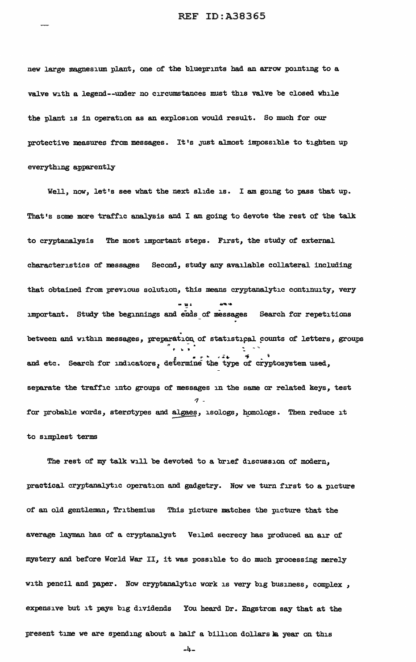new large magnesium plant, one of the blueprints had an arrow pointing to a va1ve with a legend--under no circumstances must this valve be closed while the plant is in operation as an explosion would result. So much for our protective measures from messages. It's Just almost impossible to tighten up everything apparently

Well, now, let's see what the next slide is. I am going to pass that up. That's some more traffic analysis and I am going to devote the rest of the talk to cryptanalysis The most important steps. First, the study of external characteristics of messages Second, study any available collateral including that obtained from previous solution, this means cryptanalytic continuity, very - iii' ...,....\_ important. Study the beginnings and ends of messages Search for repetitions .<br>between and within messages, preparation of statistical counts of letters, groups ation of statistical co and etc. Search for indicators, determine the type of cryptosystem used, separate the traffic into groups of messages in the same or related keys, test *'1*  for probable words, sterotypes and algaes, isologs, homologs. Then reduce it to simplest terms

The rest of my talk will be devoted to a brief discussion of modern, practical cryptanalytic operation and gadgetry. Now we turn first to a picture of' an old gentleman, Trithemius This picture matches the picture that the average layman has of a cryptanalyst Veiled secrecy bas produced an air of mystery and before World War II, it was possible to do much processing merely with pencil and paper. Now cryptanalytic work is very big business, complex , expensive but it pays big dividends You heard Dr. Engstrom say that at the present time we are spending about a half a billion dollars k year on this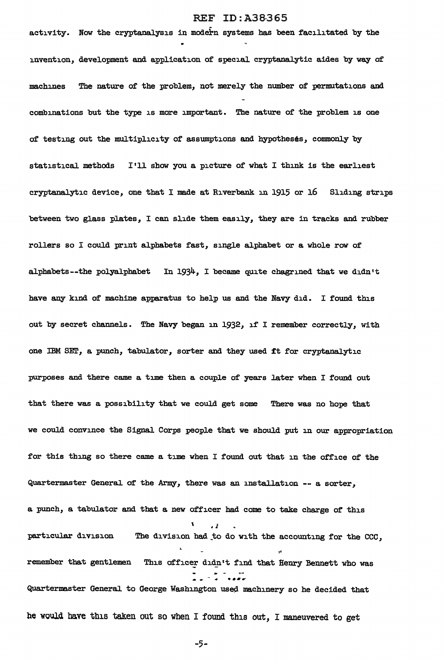# REF ID: A38-365

activity. Now the cryptanalysis in modern systems has been facilitated by the invention, development and application of special cryptanalytic aides by way of machines The nature of the problem, not merely the number of permutations and combinations but the type is more important. The nature of the problem is one of testing out the multiplicity of assumptions and hypotheses, commonly by statistical methods I'll show you a picture of what I think is the earliest cryptanalytic device, one that I made at Riverbank in 1915 or  $16$  Sliding strips between two glass plates, I can slide them easily, they are in tracks and rubber rollers so I could print alphabets fast, single alphabet or a whole row of alphabets--the polyalphabet In 1934, I became quite chagrined that we didn't have any kind of machine apparatus to help us and the Navy did. I found this out by secret channels. The Navy began in 1932, if I remember correctly, with one IBM SET, a punch, tabulator, sorter and they used ft for cryptanalytic purposes and there came a time then a couple of years later when I found out that there was a possibility that we could get some There was no hope that *we* could convince the Signal Corps people that we should put in our appropriation for this thing so there came a time when I found out that in the office of the Quartermaster General of the Army, there was an installation -- a sorter, a punch, a tabulator and that a new officer had come to take charge of this \ • *i*  particular division The division had\_to do with the accounting for the CCC, ,. remember that gentlemen This officer didn't find that Henry Bennett who was Quartermaster General to George Washington used machinery so he decided that he would bave this taken out so when I found this out, I maneuvered to get

-5-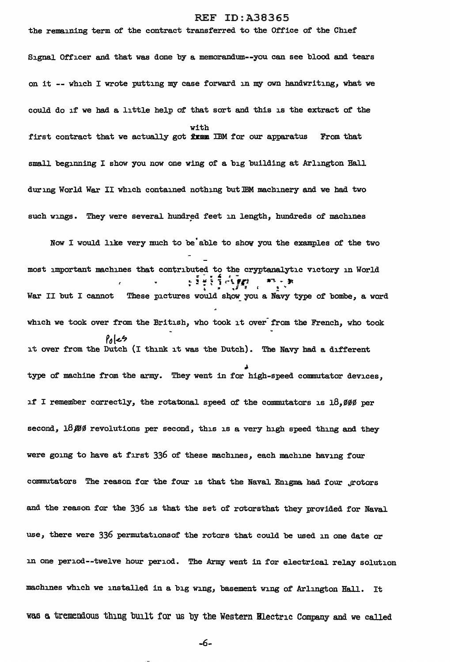the remaining term of the contract transferred to the Office of the Chief' Signal Officer and that was done by a memorandum--you can see blood and tears on it -- which I wrote putting my case forward in my own handwriting, what *we*  could do if we had a little help of that sort and this is the extract of the with first contract that we actually got  $x$  is in for our apparatus From that small beginning I show you now one wing of a big building at Arlington Hall during World War II which contained nothing but lBM machinery and *we* had two such wings. They were several hundred feet in length, hundreds of machines

Now I would like very much to be able to show you the examples of the two most important machines that contributed to the cryptanalytic victory in World  $\cdot$  i  $\cdot$  i  $\cdot$  fluxers  $\cdot$  $\frac{1}{2}$  ,  $\frac{1}{2}$  ,  $\frac{1}{2}$  ,  $\frac{1}{2}$  ,  $\frac{1}{2}$  ,  $\frac{1}{2}$  ,  $\frac{1}{2}$ War II but I cannot These pictures would show you a Navy type of bombe, a word which we took over from the British, who took it over from the French, who took Pol~? it over from the Dutch (I think it was the Dutch). The Navy bad a different type of machine from the army. They went in for high-speed commutator devices, if I remember correctly, the rotatonal speed of the commutators is  $18,999$  per second,  $18,999$  revolutions per second, this is a very high speed thing and they were going to have at first 336 of these machines, each machine having four commutators The reason for the four is that the Naval Enigma had four ,rotors and the reason for the 336 is that the set of rotorsthat they provided for Naval use, there were 336 permutations of the rotors that could be used in one date or in one period--twelve hour period. The Army went in for electrical relay solution machines which we installed in a big wing, basement wing of Arlington Hall. It was a tremendous thing built for us by the Western Blectric Company and we called

-6-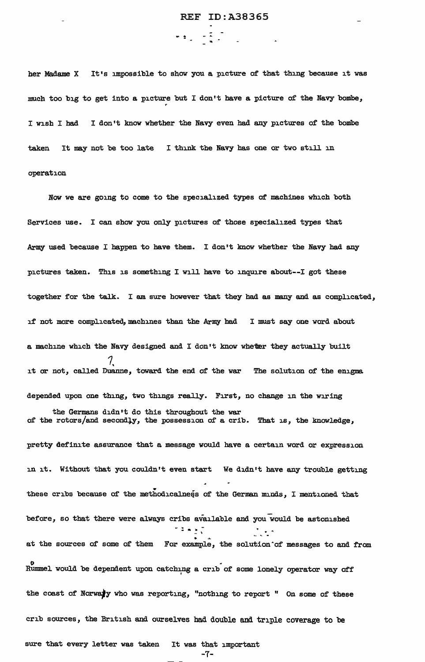her Madame X It's impossible to show you a picture of that thing because it was much too big to get into a picture but I don't have a picture of the Navy bombe, I wish I had I don't know whether the Navy even bad any pictures of' the bombe taken It may not be too late I think the Navy has one or two still in operation

 $- 4.4$ 

Now we are going to come to the specialized types of machines which both Services use. I can show you only pictures of those specialized types that Army used because I happen to have them. I don't know whether the Navy had any pictures taken. This is something I will have to inquire about--I got these together for the talk. I am sure however that they had as many and as complicated, if not more complicated, machines than the Army had I must say one word about a machine which the Navy designed and I don't know wheter they actually built *1.*  it or not, called Duanne, toward the end of the war The solution of the enigma depended upon one thing, two things really. First, no change in the wiring the Germans didn•t do this throughout the war of the rotors/and secondly, the possession of a crib. That is, the knowledge, pretty definite assurance that a message would have a. certain word or expression in it. Without that you couldn't even start We didn't have any trouble getting these cribs because of the methodicalness of the German minds, I mentioned that before, so that there were always cribs available and you would be astonished  $-1.1$ at the sources of some of them For example, the solution of messages to and from . .<br>Rummel would be dependent upon catching a crib of some lonely operator way off the coast of Norwaly who was reporting, "nothing to report " On some of these crib sources, the British and ourselves had double and triple coverage to be sure that every letter was taken It was that important

 $-7-$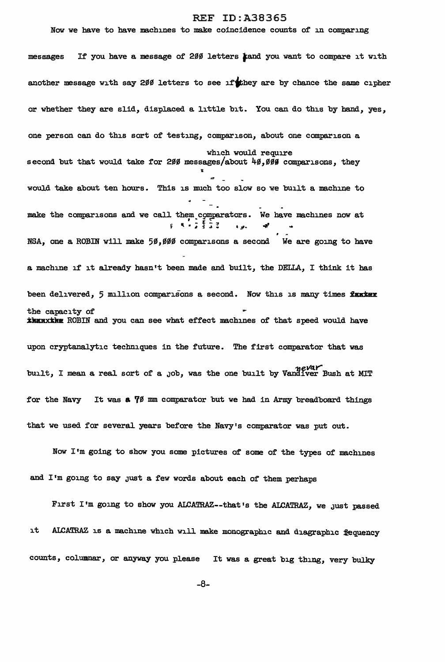#### Now we have to have machines to make coincidence counts of in comparing

messages If you have a message of 200 letters tand you want to compare it with another message with say 200 letters to see if they are by chance the same cipher or whether they are slid, displaced a little bit. You can do this by hand, yes, one person can do this sort of testing, comparison, about one comparison a which would require second but that would take for 200 messages/about  $40,000$  comparisons, they would take about ten hours. This is much too slow so we built a machine to make the comparisons and we call them comparators. We have machines now at  $\mathfrak{p}$  (K  $\mathfrak{p}$   $\mathfrak{p}$   $\mathfrak{p}$   $\mathfrak{p}$   $\mathfrak{p}$   $\mathfrak{p}$   $\mathfrak{p}$   $\mathfrak{p}$   $\mathfrak{p}$   $\mathfrak{p}$   $\mathfrak{p}$   $\mathfrak{p}$   $\mathfrak{p}$ *-4'*  NSA, one a ROBIN will make 50,000 comparisons a second We are going to have a machine if it already hasn't been made and built, the DELLA, I think it has been delivered, 5 million comparisons a second. Now this is many times farker the capacity of *ikunxthe* ROBIN and you can see what effect machines of that speed would have upon cryptanalytic techniques in the future. The first comparator that was built, I mean a real sort of a job, was the one built by Vandiver Bush at MIT for the Navy It was a 70 mm comparator but we had in Army breadboard things that *we* used for several years before the Navy's comparator was put out.

Now I'm going to show you some pictures of some of the types of machines and I'm going to say just a few words about each of them perhaps

First I'm going to show you ALCATRAZ--that's the ALCATRAZ, we just passed it ALCATRAZ is a machine which will. make monographic and diagraphic iequency counts, columnar, or anyway you please It was a great big thing, very bulky

-8-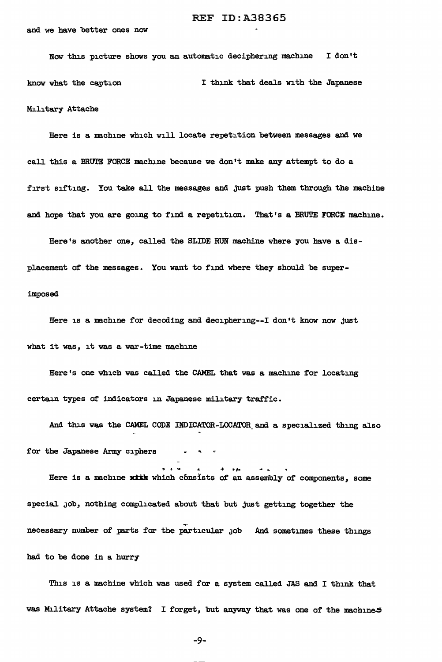#### and we have better ones now

Now this picture shows you an automatic deciphering machine I don't know what the caption I think that deals with the Japanese Military Attache

Here is a machine which will locate repetition between messages and we call this a BRUTE FORCE machine because we don't make any attempt to do a first sifting. You take all the messages and just push them through the machine and hope that you are going to find a repetition. That's a BRUTE FORCE machine.

Here's another one, called the SLIDE RUN machine where you have a displacement of the messages. You want to find where they should be superimposed

Here is a machine for decoding and deciphering--I don't know now just what it was, it was a war-time machine

Here's one which was called the CAMEL that was a machine for locating certain types of indicators in Japanese military traffic.

And this was the CAMEL CODE INDICATOR-LOCATOR\_and a specialized thing also for the Japanese Army ciphers

Here is a machine with which consists of an assembly of components, some special Job, nothing complicated about that but just getting together the necessary number of parts for the particular job And sometimes these things had to be done in a hurry

This is a machine which was used for a system called JAS and I think that was Military Attache system? I forget, but anyway that was one of the machine.

-9-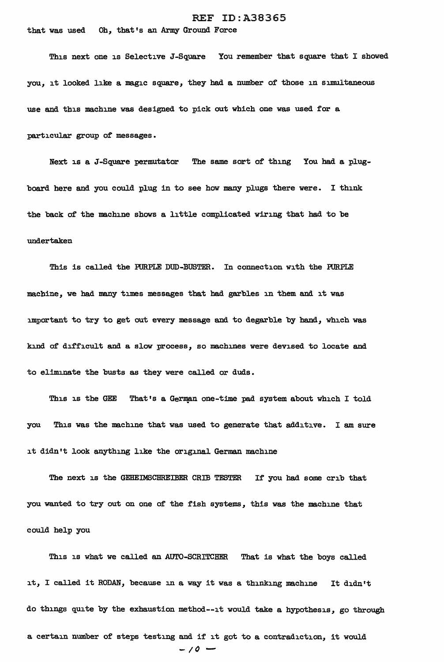that was used Oh, that's an Army Ground Force

This next one is Selective J-Square You remember that square that I showed you, it looked like a magic square, they had a number of those in simultaneous use and this machine was designed to pick out which one was used for a particular group of messages.

Next is a J-Square permutator The same sort of thing You had a plugboard here and you could plug in to see how many plugs there were. I think the back of the machine shows a little complicated wiring that had to be undertaken

This is called the PURPLE DUD-BUSTER. In connection with the PURPLE machine, we had many times messages that had garbles in them and it was important to try to get out every message and to degarble by band, which was kind of difficult and a slow process, so machines were devised to locate and to eliminate the busts as they were called or duds.

This is the GEE That's a German one-time pad system about which I told you This was the machine that was used to generate that additive. I am sure it didn't look anything like the original German machine

The next is the GEHEIMSCHREIBER CRIB TESTER If you had some crib that you wanted to try out on one of the fish systems, this was the machine that could help you

This is what we called an AUTO-SCRITCHER That is what the boys called it, I called it RODAN, because in a way it was a thinking machine It didn't do things quite by the exhaustion method--it would take a hypothesis, go through a certain number of steps testing and if it got to a contradiction, it would  $-10 -$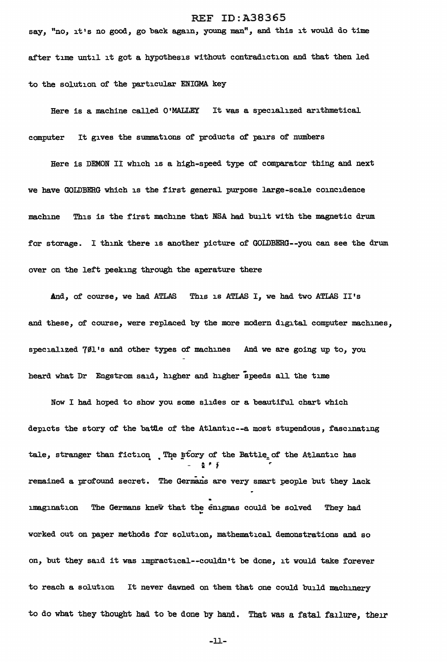say, "no, it's no good, go back again, young man", and this it would do time after time until it got a hypothesis without contradiction and that then led to the solution of the particular ENIGMA key

Here is a machine called O'MALLEY It was a specialized arithmetical computer It gives the summations of products of pairs of numbers

Here is DEMON II which is a high-speed type of comparator thing and next *we* have GOLDBERG which is the first general purpose large-scale coincidence machine This is the first machine that NSA had built with the magnetic drum for storage. I think there is another picture of GOLDBERG--you can see the drum over on the left peeking through the aperature there

And, of course, *we* had ATLAS This is ATLAS I, we had two ATLAS II's and these, of course, were replaced by the more modern digital computer machines, specialized 701's and other types of machines And we are going up to, you heard what Dr Engstrom said, higher and higher speeds all the time

Now I had hoped to show you some slides or a beautiful chart which depicts the story of the battle of the Atlantic--a most stupendous, fascinating tale, stranger than fiction. The story of the Battle<sub>z</sub> of the Atlantic has ;; ~ f remained a profound secret. The Germans are very smart people but they 1ack The Germans knew that the enigmas could be solved . They had imagination worked out on paper methods for solution, mathematical demonstrations and so on, but they said it was impractical--couldn't be done, it would take forever to reach a solution It never dawned on them that one could build machinery to do what they thought had to be done by hand. That was a fatal failure, their

-ll-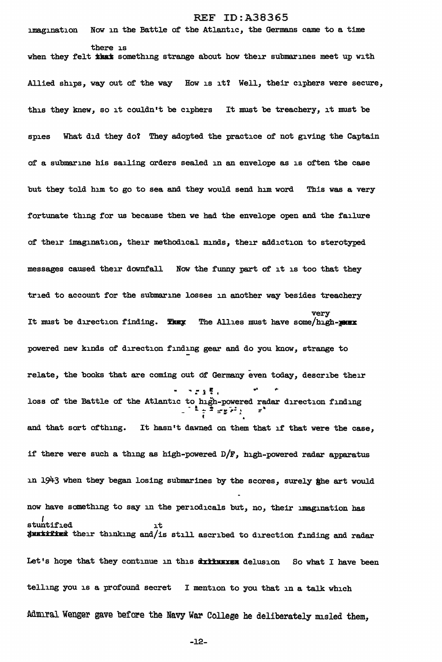REF ID:A38365 imagination Now in the Battle of the Atlantic, the Germans came to a time there is when they felt *that* something strange about how their submarines meet up with Allied ships, way out of the way How is it! Well, their ciphers were secure, this they knew, so it couldn't be ciphers It must be treachery, it must be spies What did they do? They adopted the practice of not giving the Captain of a submarine his sailing orders sealed in an envelope as is often the case but they told him to go to sea and they would send him word This was a very fortunate thing for us because then we had the envelope open and the failure of their imagination, their methodical minds, their addiction to sterotyped messages caused their downfall Now the funny part of it is too that they tried to account for the submarine losses in another way besides treachery very It must be direction finding. The all the Allies must have some/high-must powered new kinds of direction finding gear and do you know, strange to relate, the books that are coming out 6f Germany even today, describe their  $, \ldots, \,$ loss of the Battle of the Atlantic to high-powered radar direction finding  $\tau^2$  . Then and that sort ofthing. It hasn't dawned on them that if that were the case, if there were such a thing as high-powered  $D/F$ , high-powered radar apparatus in 1943 when they began losing submarines by the scores, surely ihe art would now have something to say in the periodicals but, no, their imagination has stuntified it JUNITING their thinking and/is still ascribed to direction finding and radar Let's hope that they continue in this dxxxxxx delusion So what I have been telling you is a profound secret I mention to you that in a talk which

-12-

Admiral Wenger gave before the Navy War College he deliberately misled them,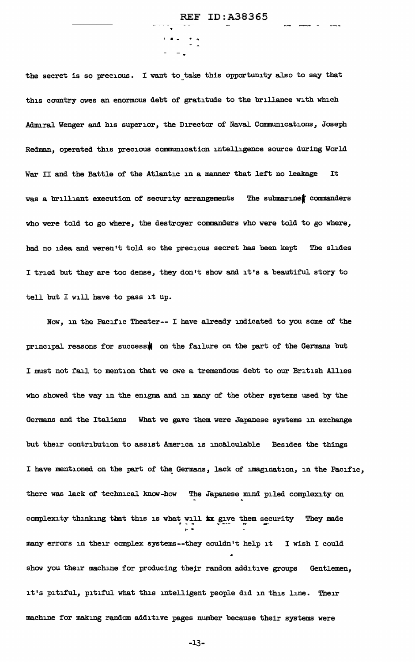the secret is so precious. I want to take this opportunity also to say that this country owes an enormous debt of gratitude to the brillance with which Admiral Wenger and his superior, the Director of Naval Communications, Joseph Redman, operated this precious communication intelligence source during World War II and the Battle of the Atlantic in a manner that left no leakage It was a brilliant execution of security arrangements The submarinet commanders who were told to go where, the destroyer commanders who were told to go where, had no idea and weren't told so the precious secret has been kept The slides I tried but they are too dense, they don't show and it's a beautiful story to tell but I will have to pass it up.

. .<br>. . . . . .

Now, in the Pacific Theater-- I have already indicated to you some of the principal reasons for success! on the failure on the part of the Germans but I must not fail to mention that *we* owe a tremendous debt to our British Allies who showed the way in the enigma and in many of the other systems used by the Germans and the Italians What we gave them were Japanese systems in exchange but their contribution to assist America is incalculable Besides the things I have mentioned on the part of the Germans, lack of imagination, in the Pacific, there was lack of technical know-how The Japanese mind piled complexity on complexity thinking that this is what will  $\bm{xx}$  give them security They made many errors in their complex systems--they couldn't help it I wish I could ... show you their machine for producing their random additive groups Gentlemen, it's pitiful, pitiful what this intelligent people did in this line. Their machine for making random additive pages number because their systems were

-13-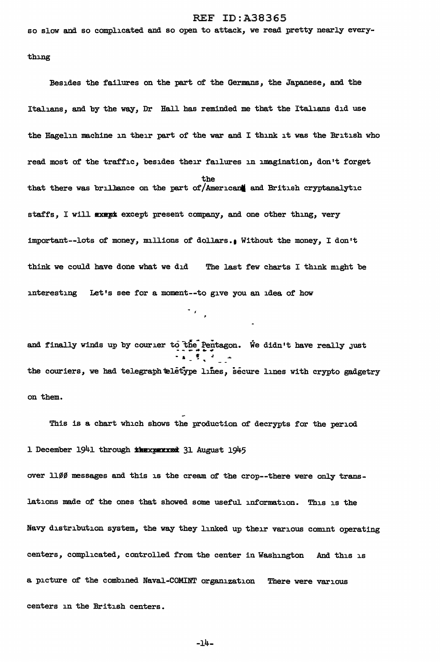so slow and so complicated and so open to attack, we read pretty nearly every-

thing

Besides the failures on the part of the Germans, the Japanese, and the Italians, and by the way, Dr Hall has reminded me that the Italians did use the Hagelin machine in their part of the war and I think it was the British who read most of the traffic, besides their failures in imagination, don't forget the that there was brillence on the part of/American and British cryptanalytic staffs, I will exept except present company, and one other thing, very important--lots of money, millions of dollars.1 Without the money, I don't think we could have done what we did The last few charts I think might be interesting Let's see for a moment--to give you an idea of how

and finally winds up by courier to the Pentagon. We didn't have really just ... the couriers, we had telegraph teletype lines, secure lines with crypto gadgetry on them.

This is a chart which shows the production of decrypts for the period 1 December 1941 through \* \* \* \* 31 August 1945

over 1100 messages and this is the cream of the crop--there were only translations made of the ones that showed some useful information. This is the Navy distribution system, the way they linked up their various comint operating centers, complicated, controlled from the center in Washington And this is a picture of the combined Naval-COMINT organization There were various centers in the British centers.

-14-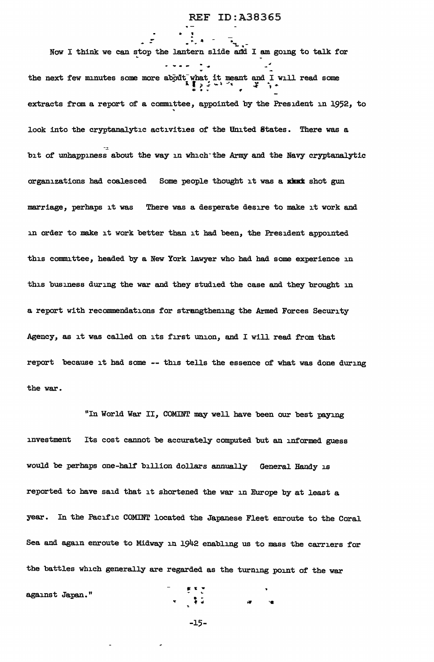Now I think we can stop the lantern slide and I am going to talk for - 57 the next few minutes some more about what it meant and I will read some  $\frac{1}{2}$ . extracts from a report of a committee, appointed by the President in l952, to ' look into the cryptanalytic activities of the United States. There was a bit of unhappiness about the way in which the Army and the Navy cryptanalytic organizations had coalesced Some people thought it was a xhat shot gun marriage, perhaps it was There was a desperate desire to make it work and in order to make it work better than it had been, the President appointed this committee, headed by a New York lawyer who had had some experience in this business during the war and they studied the case and they brought in a report with recommendations for strengthening the Armed Forces Security Agency, as it was called on its first union, and I will read from that report because it had some -- this tells the essence of what was done during the war.

..

"In World War II, COMINT may well have been our best paying investment Its cost cannot be accurately computed but an informed guess would be perhaps one-half billion dollars annually General Handy is reported to have said that it shortened the war in Europe by at least a year. In the Pacific COMINT located the Japanese Fleet enroute to the Coral Sea and again enroute to Midway in l942 enabling us to mass the carriers for the battles which generally are regarded as the turning point of the war

against Japan."<br>"

-l5-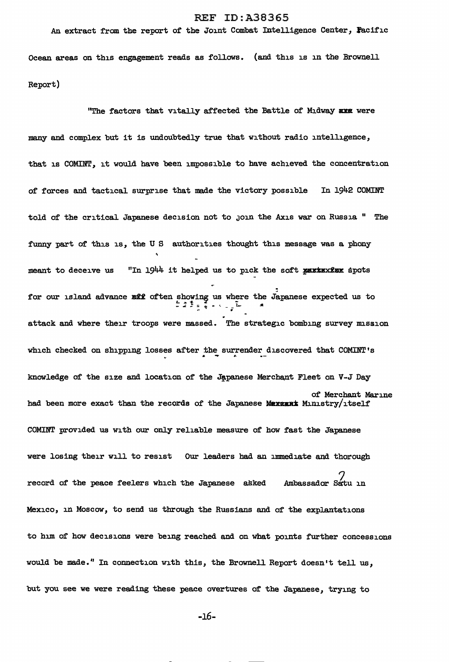# An extract from the report of the Joint Combat Intelligence Center, Pacific

Ocean areas on this engagement reads as follows. (and this is in the Brownell Report)

"The factors that vitally affected the Battle of Midway arm were many and complex but it is undoubtedly true that without radio intelligence, that is COMINT, it would have been impossible to have achieved the concentration of forces and tactical surprise that made the victory possible In 1942 COMINT told of the critical Japanese decision not to join the Axis war on Russia " The funny part of this is, the U S authorities thought this message was a phony<br>
meant to deceive us "In 1944 it helped us to pick the soft **parts the soft** for our island advance will often showing us where the Japanese expected us to  $-2.777$   $-1.777$   $-1.777$   $-1.777$   $-1.777$   $-1.777$   $-1.777$   $-1.777$   $-1.777$   $-1.777$   $-1.777$   $-1.777$   $-1.777$   $-1.777$   $-1.777$   $-1.777$   $-1.777$   $-1.777$   $-1.777$   $-1.777$   $-1.777$   $-1.777$   $-1.777$   $-1.777$   $-1.7$ attack and where their troops were massed. The strategic bombing survey mission which checked on shipping losses after the surrender discovered that COMINT's knowledge of the size and location of the Japanese Merchant Fleet on V-J Day of Merchant Marine had been more exact than the records of the Japanese Mexsant Ministry/itself COMINT provided us with our only reliable measure of how fast the Japanese were losing their will to resist Our leaders bad an immediate and thorough record of the peace feelers which the Japanese asked *7* Ambassador Sa.'tu in Mexico, in Moscow, to send us through the Russians and of the explantations to him of how decisions were being reached and on what points further concessions would be made." In connection with this, the Brownell Report doesn't tell us, but you see we were reading these peace overtures of the Japanese, trying to

-16-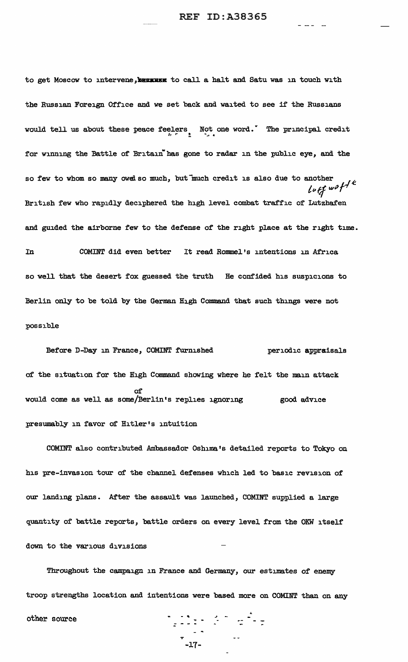- - - -

to get Moscow to intervene, **because** to call a halt and Satu was in touch with the Russian Foreign Office and we set back and waited to see if the Russians would tell us about these peace feelers Not one word.<sup>r The</sup> principal credit for winning the Battle of Britain has gone to radar in the public eye, and the so few to whom so many owed so much, but much credit is also due to another  $L$ *u*  $et$  *wo*  $f^{f}$ <sup> $k$ </sup> British few who rapidly deciphered the high level combat traffic of Lutzhafen and guided the airborne few to the defense of the right place at the right time. In COMINT did even better It read Rommel's intentions in Africa so well that the desert fox guessed the truth He confided his suspicions to Berlin only to be told by the German High Command that such things were not possible

Before D-Day in France, COMINT furnished periodic appraisals of the situation for the High Command showing where he felt the main attack of would come as well as some/Berlin's replies ignoring good advice presumably in favor of Hitler's intuition

COMINT also contributed Ambassador Oshima.'s detailed reports to Tokyo on his pre-invasion tour of the channel defenses which led to basic revision of our landing plans. After the assault was launched, COMINT supplied a large quantity of battle reports, battle orders on every level from the OKW itself down to the various divisions

Throughout the campaign in France and Germany, our estimates of enemy troop strengths location and intentions were based more on COMINT than on any other source - ... \_, -  $\tilde{z}$  :

-<br>-17-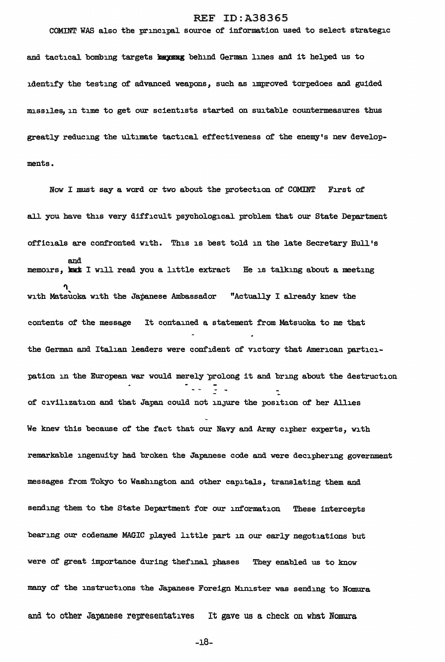COMINT WAS also the principal source of information used to select strategic

and tactical bombing targets **Maysug** behind German lines and it helped us to identify the testing of advanced weapons, such as improved torpedoes and guided missiles, in time to get our scientists started on suitable countermeasures thus greatly reducing the ultimate tactical effectiveness of the enemy's new developments.

Now I must say a word or two about the protection of COMINT First of all you have this very difficult psychological problem that our State Department officials are confronted with. This is best told in the late Secretary Bull's and memoirs, **met** I will read you a little extract Be is talking about a meeting with Matsuoka with the Japanese Ambassador "Actually I already knew the contents of the message It contained a statement from Matsuoka to me that the German and Italian leaders were confident of victory that American participation in the European war would merely prolong it and bring about the destruction Tion Dio of' civilization and that Japan could not inJure the position of her Allies We knew this because of the fact that our Navy and Army cipher experts, with remarkable ingenuity bad broken the Japanese code and were deciphering government messages from Tokyo to Washington and other capitals, translating them and sending them to the State Department for our information These intercepts bearing our codename MAGIC played little part in our early negotiations but were of great importance during thefinal phases They enabled us to know many of the instructions the Japanese Foreign Minister was sending to Nomura and to other Japanese representatives It gave us a check on what Nomura

-18-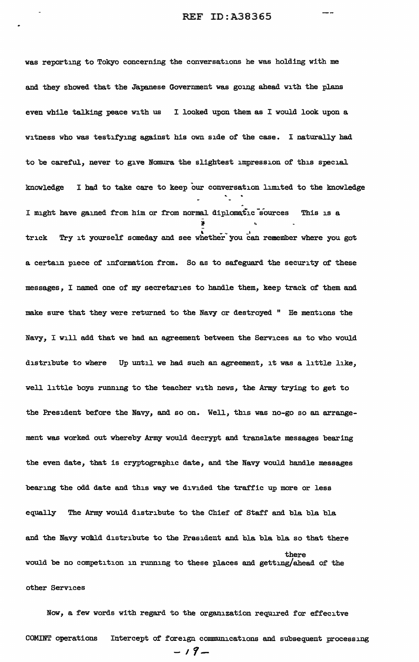was reporting to Tokyo concerning the conversations he was holding with me and they showed that the Japanese Government was going ahead with the plans even while talking peace with us I looked upon them as I would look upon a witness who was testifying against his own side of the case. I naturally had to be careful, never to give Nomura the slightest impression of this special . knowledge I had to take care to keep our conversation limited to the knowledge I might have gained from him or from normal diplomatic sources This is a !- .. trick Try it yourself someday and see whether you can remember where you got a certain piece of information from. So as to safeguard the security of these messages, I named one of my secretaries to handle them, keep track of them and make sure that they were returned to the Navy or destroyed " He mentions the Navy, I will add that we bad an agreement between the Services as to who would distribute to where Up until we had such an agreement, it was a little like, *well* little boys running to the teacher with news, the Army trying to get to the President before the Navy, and so on. Well, this was no-go so an arrangement was worked out whereby Army would decrypt and translate messages bearing the even date, that is cryptographic date, and the Navy would handle messages bearing the odd date and this way we divided the traffic up more or less equally The Army would distribute to the Chief' of' Staff and bla bla bla and the Navy would distribute to the President and bla bla bla so that there there would be no competition in running to these places and getting/ahead of the other Services

Now, a few words with regard to the organization required for effecitve COMINT operations Intercept of foreign communications and subsequent processing  $-$ ,  $\mathcal{G}_{\text{max}}$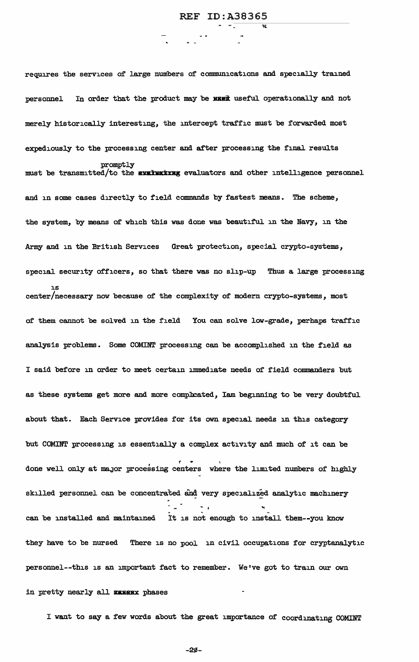requires the services of large numbers of communications and specially trained personnel In order that the product may be **MIKK** useful operationally and not merely historically interesting, the intercept traffic must be forwarded most expediously to the processing center and after processing the final results promptly must be transmitted/to the **evaluating** evaluators and other intelligence personnel and in some cases directly to field commands by fastest means. The scheme, the system, by means of' which this was done was beautiful in the Navy, in the Army and in the British Services Great protection, special crypto-systems, special security officers, so that there was no slip-up Thus a large processing is center/necessary now because of the complexity of modern crypto-systems, most of' them cannot be solved in the field You can solve low-grade, perhaps traffic analysis problems. Some COMINT processing can be accomplished in the field as <sup>I</sup>said before in order to meet certain immediate needs of field commanders but as these systems get more and more complicated, Iam beginning to be very doubtful about that. Each Service provides for its own special needs in this category but COMINT processing is essentially a complex activity and much of' it can be done well only at major processing centers where the limited numbers of highly skilled personnel can be concentrated and very specialized analytic machinery can be installed and maintained It is not enough to install them--you know they have to be nursed There is no pool in civil occupations for cryptanalytic personnel--this is an important fact to remember. We've got to train our own in pretty nearly all **EXEEX** phases

I want to say a few words about the great importance of' coordinating COMINT

 $-20-$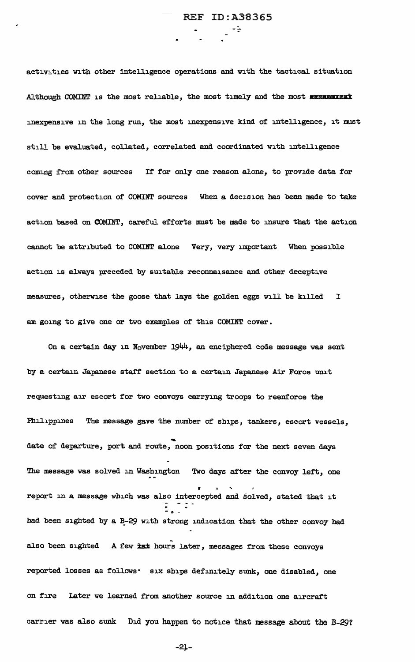activities with other intelligence operations and with the tactical situation Although COMINT is the most reliable, the most timely and the most EXEMENTICAL inexpensive in the long run, the most inexpensive kind of intelligence, it must still be evaluated, collated, correlated and coordinated with intelligence coming from other sources If for only one reason alone, to provide data for cover and protection of COMINT sources When a decision has been made to take action based on COMINT, careful efforts must be made to insure that the action cannot be attributed to COMINT alone Very, very important When possible action is always preceded by suitable reconnaisance and other deceptive measures, otherwise the goose that lays the golden eggs will be killed I am going to give one or two examples of this COMINT cover.

On a certain day in November  $1944$ , an enciphered code message was sent by a certain Japanese staff section to a certain Japanese Air Force unit requesting air escort for two convoys carrying troops to reenforce the Philippines The message gave the number of ships, tankers, escort vessels, date of departure, port and route, noon positions for the next seven days The message was solved in Washington Two days after the convoy left, one report in a message which was also intercepted and solved, stated that it had been sighted by a B-29 with strong indication that the other convoy had also been sighted A few tax hours later, messages from these convoys reported losses as follows· six ships definitely sunk, one disabled, one on fire Later we learned from another source in addition one aircraft carrier was also sunk Did you happen to notice that message about the B-29?

-2J--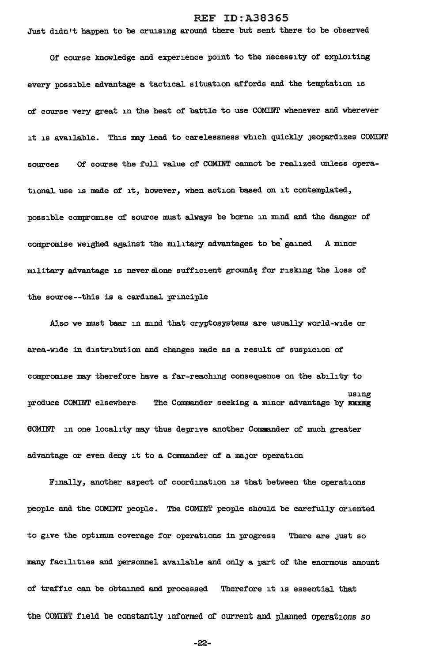Just didn't happen to be cruising around there but sent there to be observed

Of course knowledge and experience point to the necessity of exploiting every possible advantage a tactical situation affords and the temptation is of course very great in the heat of battle to use COMINT whenever and wherever it is available. This may lead to carelessness which quickly Jeopardizes COMINT sources Of course the full value of COMINT cannot be realized unless operational use is made of it, however, when action based on it contemplated, possible compromise of source must always be borne in mind and the danger of . compromise weighed against the military advantages to be gained A minor military advantage is never alone sufficient grounds for risking the loss of the source--this is a cardinal principle

Also we must bear in mind that cryptosystems are usually world-wide or area-wide in distribution and changes made as a result of suspicion of compromise may therefore have a far-reaching consequence on the ability to produce COMINT elsewhere using The Commander seeking a minor advantage by EMXME 60MINT in one locality may thus deprive another Cnmaander of much greater advantage or even deny it to a Commander of a major operation

Finally, another aspect of coordination is that between the operations people and the COMINT people. The COMINT people should be carefully oriented to give the optimum coverage for operations in progress There are just so many facilities and personnel available and only a part of the enormous amount of traffic can be obtained and processed Therefore it is essential that the COMINT field be constantly informed of current and planned operations so

-22-